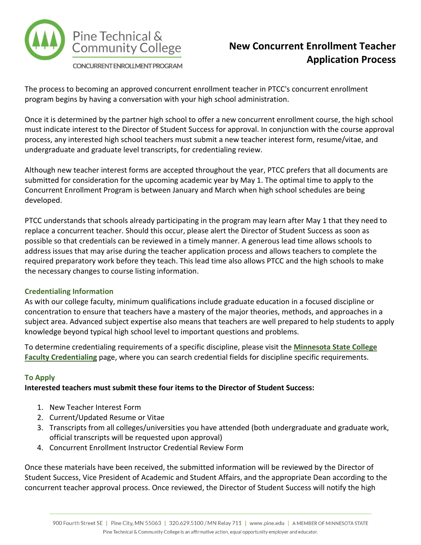

# **New Concurrent Enrollment Teacher Application Process**

The process to becoming an approved concurrent enrollment teacher in PTCC's concurrent enrollment program begins by having a conversation with your high school administration.

Once it is determined by the partner high school to offer a new concurrent enrollment course, the high school must indicate interest to the Director of Student Success for approval. In conjunction with the course approval process, any interested high school teachers must submit a new teacher interest form, resume/vitae, and undergraduate and graduate level transcripts, for credentialing review.

Although new teacher interest forms are accepted throughout the year, PTCC prefers that all documents are submitted for consideration for the upcoming academic year by May 1. The optimal time to apply to the Concurrent Enrollment Program is between January and March when high school schedules are being developed.

PTCC understands that schools already participating in the program may learn after May 1 that they need to replace a concurrent teacher. Should this occur, please alert the Director of Student Success as soon as possible so that credentials can be reviewed in a timely manner. A generous lead time allows schools to address issues that may arise during the teacher application process and allows teachers to complete the required preparatory work before they teach. This lead time also allows PTCC and the high schools to make the necessary changes to course listing information.

# **Credentialing Information**

As with our college faculty, minimum qualifications include graduate education in a focused discipline or concentration to ensure that teachers have a mastery of the major theories, methods, and approaches in a subject area. Advanced subject expertise also means that teachers are well prepared to help students to apply knowledge beyond typical high school level to important questions and problems.

To determine credentialing requirements of a specific discipline, please visit the **[Minnesota State College](http://www.minnstate.edu/system/asa/academicaffairs/cfc/)  [Faculty Credentialing](http://www.minnstate.edu/system/asa/academicaffairs/cfc/)** page, where you can search credential fields for discipline specific requirements.

# **To Apply**

# **Interested teachers must submit these four items to the Director of Student Success:**

- 1. [New Teacher Interest](http://www.pine.edu/media/pdf/forms/2018New%20Concurrent%20Teacher%20Interest%20Form.pdf) Form
- 2. Current/Updated Resume or Vitae
- 3. Transcripts from all colleges/universities you have attended (both undergraduate and graduate work, official transcripts will be requested upon approval)
- 4. [Concurrent Enrollment Instructor Credential Review Form](http://www.pine.edu/media/pdf/forms/2018Teacher%20Credential%20Review%20Form.pdf)

Once these materials have been received, the submitted information will be reviewed by the Director of Student Success, Vice President of Academic and Student Affairs, and the appropriate Dean according to the concurrent teacher approval process. Once reviewed, the Director of Student Success will notify the high